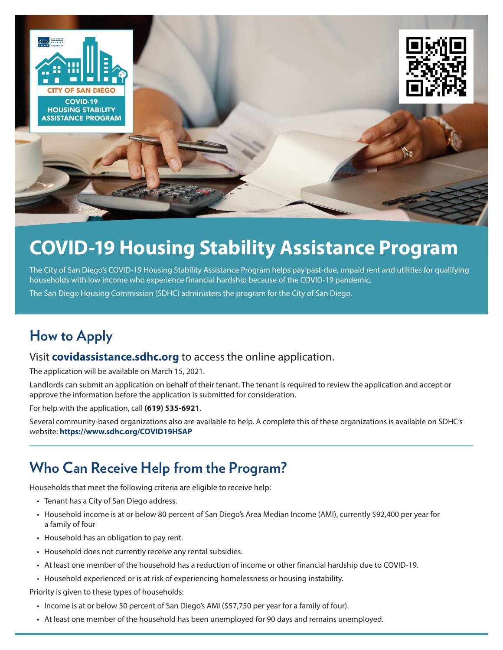

# **COVID-19 Housing Stability Assistance Program**

The City of San Diego's COVID-19 Housing Stability Assistance Program helps pay past-due, unpaid rent and utilities for qualifying households with low income who experience financial hardship because of the COVID-19 pandemic.

The San Diego Housing Commission (SDHC) administers the program for the City of San Diego.

## **How to Apply**

#### Visit **[covidassistance.sdhc.org](http://covidassistance.sdhc.org)** to access the online application.

The application will be available on March 15, 2021.

Landlords can submit an application on behalf of their tenant. The tenant is required to review the application and accept or approve the information before the application is submitted for consideration.

For help with the application, call **(619) 535-6921**.

Several community-based organizations also are available to help. A complete this of these organizations is available on SDHC's website: **<https://www.sdhc.org/COVID19HSAP>**

### **Who Can Receive Help from the Program?**

Households that meet the following criteria are eligible to receive help:

- Tenant has a City of San Diego address.
- Household income is at or below 80 percent of San Diego's Area Median Income (AMI), currently \$92,400 per year for a family of four
- Household has an obligation to pay rent.
- Household does not currently receive any rental subsidies.
- At least one member of the household has a reduction of income or other financial hardship due to COVID-19.
- Household experienced or is at risk of experiencing homelessness or housing instability.

Priority is given to these types of households:

- Income is at or below 50 percent of San Diego's AMI (\$57,750 per year for a family of four).
- At least one member of the household has been unemployed for 90 days and remains unemployed.